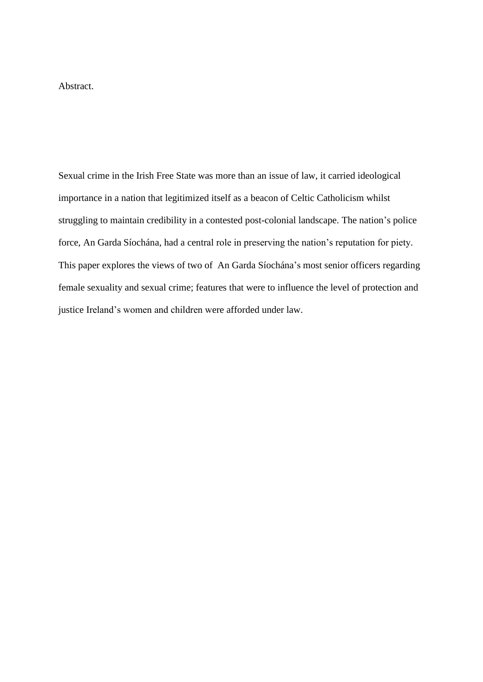Abstract.

Sexual crime in the Irish Free State was more than an issue of law, it carried ideological importance in a nation that legitimized itself as a beacon of Celtic Catholicism whilst struggling to maintain credibility in a contested post-colonial landscape. The nation's police force, An Garda Síochána, had a central role in preserving the nation's reputation for piety. This paper explores the views of two of An Garda Síochána's most senior officers regarding female sexuality and sexual crime; features that were to influence the level of protection and justice Ireland's women and children were afforded under law.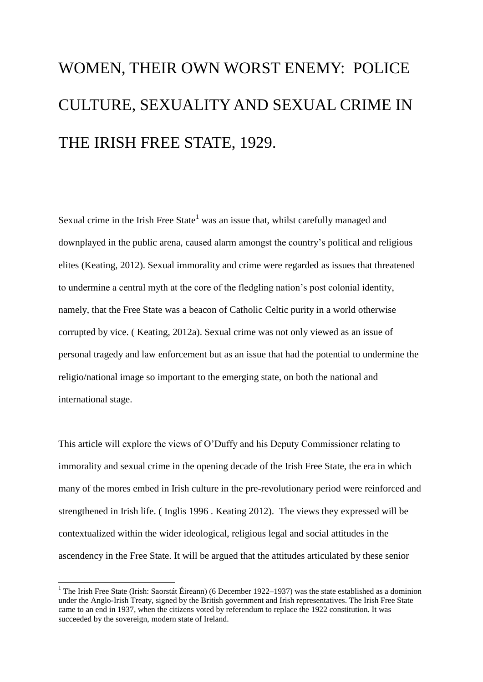# WOMEN, THEIR OWN WORST ENEMY: POLICE CULTURE, SEXUALITY AND SEXUAL CRIME IN THE IRISH FREE STATE, 1929.

Sexual crime in the Irish Free State<sup>1</sup> was an issue that, whilst carefully managed and downplayed in the public arena, caused alarm amongst the country's political and religious elites (Keating, 2012). Sexual immorality and crime were regarded as issues that threatened to undermine a central myth at the core of the fledgling nation's post colonial identity, namely, that the Free State was a beacon of Catholic Celtic purity in a world otherwise corrupted by vice. ( Keating, 2012a). Sexual crime was not only viewed as an issue of personal tragedy and law enforcement but as an issue that had the potential to undermine the religio/national image so important to the emerging state, on both the national and international stage.

This article will explore the views of O'Duffy and his Deputy Commissioner relating to immorality and sexual crime in the opening decade of the Irish Free State, the era in which many of the mores embed in Irish culture in the pre-revolutionary period were reinforced and strengthened in Irish life. ( Inglis 1996 . Keating 2012). The views they expressed will be contextualized within the wider ideological, religious legal and social attitudes in the ascendency in the Free State. It will be argued that the attitudes articulated by these senior

-

<sup>&</sup>lt;sup>1</sup> The Irish Free State (Irish: Saorstát Éireann) (6 December 1922–1937) was the state established as a dominion under the Anglo-Irish Treaty, signed by the British government and Irish representatives. The Irish Free State came to an end in 1937, when the citizens voted by referendum to replace the 1922 constitution. It was succeeded by the sovereign, modern state of Ireland.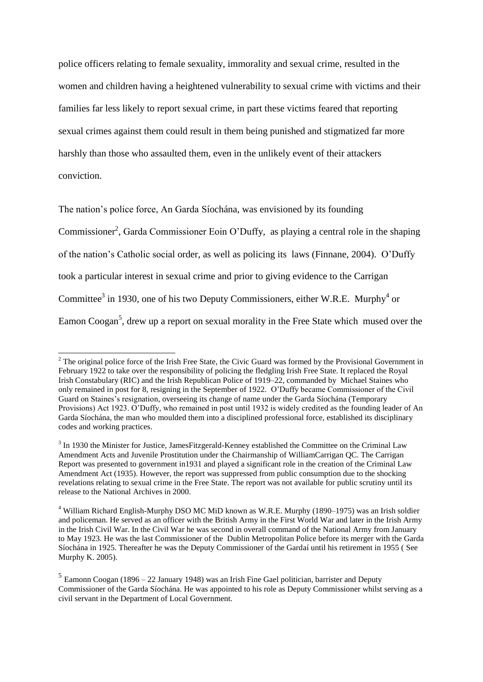police officers relating to female sexuality, immorality and sexual crime, resulted in the women and children having a heightened vulnerability to sexual crime with victims and their families far less likely to report sexual crime, in part these victims feared that reporting sexual crimes against them could result in them being punished and stigmatized far more harshly than those who assaulted them, even in the unlikely event of their attackers conviction.

The nation's police force, An Garda Síochána, was envisioned by its founding Commissioner<sup>2</sup>, Garda Commissioner Eoin O'Duffy, as playing a central role in the shaping of the nation's Catholic social order, as well as policing its laws (Finnane, 2004). O'Duffy took a particular interest in sexual crime and prior to giving evidence to the Carrigan Committee<sup>3</sup> in 1930, one of his two Deputy Commissioners, either W.R.E. Murphy<sup>4</sup> or Eamon Coogan<sup>5</sup>, drew up a report on sexual morality in the Free State which mused over the

-

<sup>&</sup>lt;sup>2</sup> The original police force of the Irish Free State, the Civic Guard was formed by the Provisional Government in February 1922 to take over the responsibility of policing the fledgling Irish Free State. It replaced the Royal Irish Constabulary (RIC) and the Irish Republican Police of 1919–22, commanded by Michael Staines who only remained in post for 8, resigning in the September of 1922. O'Duffy became Commissioner of the Civil Guard on Staines's resignation, overseeing its change of name under the Garda Síochána (Temporary Provisions) Act 1923. O'Duffy, who remained in post until 1932 is widely credited as the founding leader of An Garda Síochána, the man who moulded them into a disciplined professional force, established its disciplinary codes and working practices.

 $3$  In 1930 the Minister for Justice, James Fitzgerald-Kenney established the Committee on the Criminal Law Amendment Acts and Juvenile Prostitution under the Chairmanship of WilliamCarrigan QC. The Carrigan Report was presented to government in1931 and played a significant role in the creation of the Criminal Law Amendment Act (1935). However, the report was suppressed from public consumption due to the shocking revelations relating to sexual crime in the Free State. The report was not available for public scrutiny until its release to the National Archives in 2000.

<sup>4</sup> William Richard English-Murphy DSO MC MiD known as W.R.E. Murphy (1890–1975) was an Irish soldier and policeman. He served as an officer with the British Army in the First World War and later in the Irish Army in the Irish Civil War. In the Civil War he was second in overall command of the National Army from January to May 1923. He was the last Commissioner of the Dublin Metropolitan Police before its merger with the Garda Síochána in 1925. Thereafter he was the Deputy Commissioner of the Gardaí until his retirement in 1955 ( See Murphy K. 2005).

 $<sup>5</sup>$  Eamonn Coogan (1896 – 22 January 1948) was an Irish Fine Gael politician, barrister and Deputy</sup> Commissioner of the Garda Síochána. He was appointed to his role as Deputy Commissioner whilst serving as a civil servant in the Department of Local Government.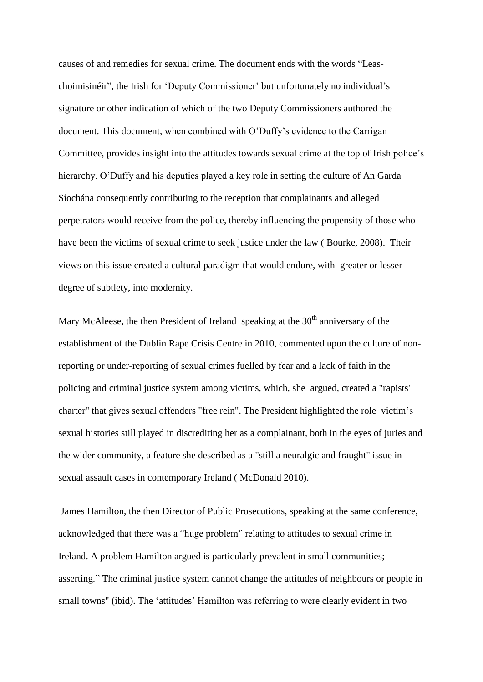causes of and remedies for sexual crime. The document ends with the words "Leaschoimisinéir", the Irish for 'Deputy Commissioner' but unfortunately no individual's signature or other indication of which of the two Deputy Commissioners authored the document. This document, when combined with O'Duffy's evidence to the Carrigan Committee, provides insight into the attitudes towards sexual crime at the top of Irish police's hierarchy. O'Duffy and his deputies played a key role in setting the culture of An Garda Síochána consequently contributing to the reception that complainants and alleged perpetrators would receive from the police, thereby influencing the propensity of those who have been the victims of sexual crime to seek justice under the law ( Bourke, 2008). Their views on this issue created a cultural paradigm that would endure, with greater or lesser degree of subtlety, into modernity.

Mary McAleese, the then President of Ireland speaking at the  $30<sup>th</sup>$  anniversary of the establishment of the Dublin Rape Crisis Centre in 2010, commented upon the culture of nonreporting or under-reporting of sexual crimes fuelled by fear and a lack of faith in the policing and criminal justice system among victims, which, she argued, created a "rapists' charter" that gives sexual offenders "free rein". The President highlighted the role victim's sexual histories still played in discrediting her as a complainant, both in the eyes of juries and the wider community, a feature she described as a "still a neuralgic and fraught" issue in sexual assault cases in contemporary Ireland ( McDonald 2010).

James Hamilton, the then Director of Public Prosecutions, speaking at the same conference, acknowledged that there was a "huge problem" relating to attitudes to sexual crime in Ireland. A problem Hamilton argued is particularly prevalent in small communities; asserting." The criminal justice system cannot change the attitudes of neighbours or people in small towns" (ibid). The 'attitudes' Hamilton was referring to were clearly evident in two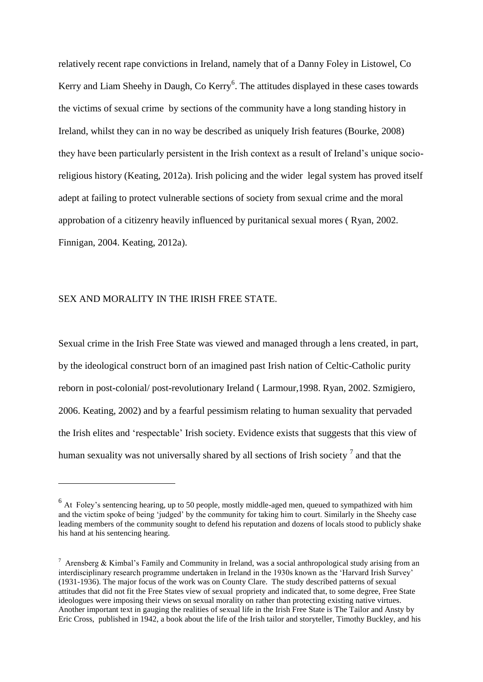relatively recent rape convictions in Ireland, namely that of a Danny Foley in Listowel, Co Kerry and Liam Sheehy in Daugh, Co Kerry<sup>6</sup>. The attitudes displayed in these cases towards the victims of sexual crime by sections of the community have a long standing history in Ireland, whilst they can in no way be described as uniquely Irish features (Bourke, 2008) they have been particularly persistent in the Irish context as a result of Ireland's unique socioreligious history (Keating, 2012a). Irish policing and the wider legal system has proved itself adept at failing to protect vulnerable sections of society from sexual crime and the moral approbation of a citizenry heavily influenced by puritanical sexual mores ( Ryan, 2002. Finnigan, 2004. Keating, 2012a).

### SEX AND MORALITY IN THE IRISH FREE STATE.

1

Sexual crime in the Irish Free State was viewed and managed through a lens created, in part, by the ideological construct born of an imagined past Irish nation of Celtic-Catholic purity reborn in post-colonial/ post-revolutionary Ireland ( Larmour,1998. Ryan, 2002. Szmigiero, 2006. Keating, 2002) and by a fearful pessimism relating to human sexuality that pervaded the Irish elites and 'respectable' Irish society. Evidence exists that suggests that this view of human sexuality was not universally shared by all sections of Irish society  $^7$  and that the

<sup>&</sup>lt;sup>6</sup> At Foley's sentencing hearing, up to 50 people, mostly middle-aged men, queued to sympathized with him and the victim spoke of being 'judged' by the community for taking him to court. Similarly in the Sheehy case leading members of the community sought to defend his reputation and dozens of locals stood to publicly shake his hand at his sentencing hearing.

<sup>&</sup>lt;sup>7</sup> Arensberg & Kimbal's Family and Community in Ireland, was a social anthropological study arising from an interdisciplinary research programme undertaken in Ireland in the 1930s known as the 'Harvard Irish Survey' (1931-1936). The major focus of the work was on County Clare. The study described patterns of sexual attitudes that did not fit the Free States view of sexual propriety and indicated that, to some degree, Free State ideologues were imposing their views on sexual morality on rather than protecting existing native virtues. Another important text in gauging the realities of sexual life in the Irish Free State is The Tailor and Ansty by Eric Cross, published in 1942, a book about the life of the Irish tailor and storyteller, Timothy Buckley, and his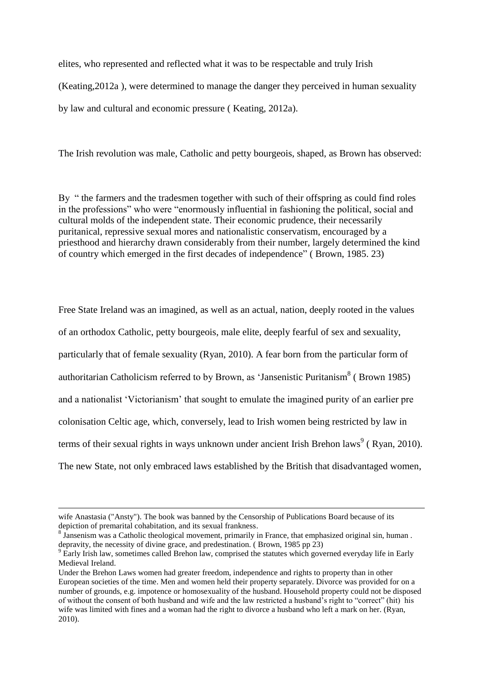elites, who represented and reflected what it was to be respectable and truly Irish (Keating,2012a ), were determined to manage the danger they perceived in human sexuality by law and cultural and economic pressure ( Keating, 2012a).

The Irish revolution was male, Catholic and petty bourgeois, shaped, as Brown has observed:

By " the farmers and the tradesmen together with such of their offspring as could find roles in the professions" who were "enormously influential in fashioning the political, social and cultural molds of the independent state. Their economic prudence, their necessarily puritanical, repressive sexual mores and nationalistic conservatism, encouraged by a priesthood and hierarchy drawn considerably from their number, largely determined the kind of country which emerged in the first decades of independence" ( Brown, 1985. 23)

Free State Ireland was an imagined, as well as an actual, nation, deeply rooted in the values of an orthodox Catholic, petty bourgeois, male elite, deeply fearful of sex and sexuality, particularly that of female sexuality (Ryan, 2010). A fear born from the particular form of authoritarian Catholicism referred to by Brown, as 'Jansenistic Puritanism<sup>8</sup> (Brown 1985) and a nationalist 'Victorianism' that sought to emulate the imagined purity of an earlier pre colonisation Celtic age, which, conversely, lead to Irish women being restricted by law in terms of their sexual rights in ways unknown under ancient Irish Brehon laws<sup>9</sup> (Ryan, 2010). The new State, not only embraced laws established by the British that disadvantaged women,

-

wife Anastasia ("Ansty"). The book was banned by the Censorship of Publications Board because of its depiction of premarital cohabitation, and its sexual frankness.

 $8 \text{ Jansenism}$  was a Catholic theological movement, primarily in France, that emphasized original sin, human. depravity, the necessity of divine grace, and predestination. ( Brown, 1985 pp 23)

<sup>&</sup>lt;sup>9</sup> Early Irish law, sometimes called Brehon law, comprised the statutes which governed everyday life in Early Medieval Ireland.

Under the Brehon Laws women had greater freedom, independence and rights to property than in other European societies of the time. Men and women held their property separately. Divorce was provided for on a number of grounds, e.g. impotence or homosexuality of the husband. Household property could not be disposed of without the consent of both husband and wife and the law restricted a husband's right to "correct" (hit) his wife was limited with fines and a woman had the right to divorce a husband who left a mark on her. (Ryan, 2010).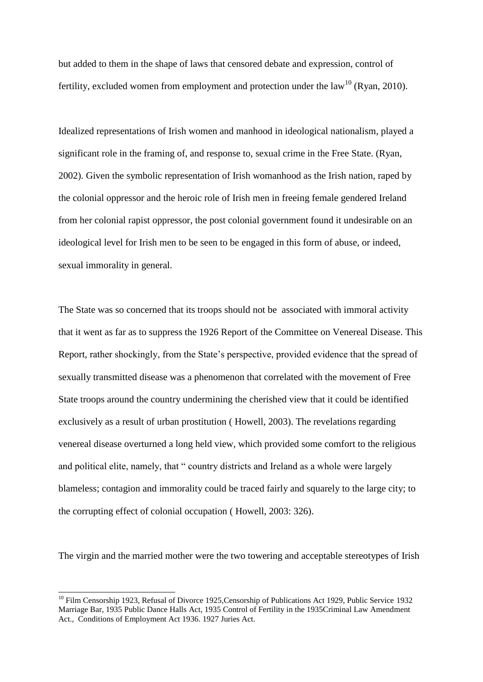but added to them in the shape of laws that censored debate and expression, control of fertility, excluded women from employment and protection under the law<sup>10</sup> (Ryan, 2010).

Idealized representations of Irish women and manhood in ideological nationalism, played a significant role in the framing of, and response to, sexual crime in the Free State. (Ryan, 2002). Given the symbolic representation of Irish womanhood as the Irish nation, raped by the colonial oppressor and the heroic role of Irish men in freeing female gendered Ireland from her colonial rapist oppressor, the post colonial government found it undesirable on an ideological level for Irish men to be seen to be engaged in this form of abuse, or indeed, sexual immorality in general.

The State was so concerned that its troops should not be associated with immoral activity that it went as far as to suppress the 1926 Report of the Committee on Venereal Disease. This Report, rather shockingly, from the State's perspective, provided evidence that the spread of sexually transmitted disease was a phenomenon that correlated with the movement of Free State troops around the country undermining the cherished view that it could be identified exclusively as a result of urban prostitution ( Howell, 2003). The revelations regarding venereal disease overturned a long held view, which provided some comfort to the religious and political elite, namely, that " country districts and Ireland as a whole were largely blameless; contagion and immorality could be traced fairly and squarely to the large city; to the corrupting effect of colonial occupation ( Howell, 2003: 326).

The virgin and the married mother were the two towering and acceptable stereotypes of Irish

 $\overline{a}$ 

<sup>&</sup>lt;sup>10</sup> Film Censorship 1923, Refusal of Divorce 1925, Censorship of Publications Act 1929, Public Service 1932 Marriage Bar, 1935 Public Dance Halls Act, 1935 Control of Fertility in the 1935Criminal Law Amendment Act., Conditions of Employment Act 1936. 1927 Juries Act.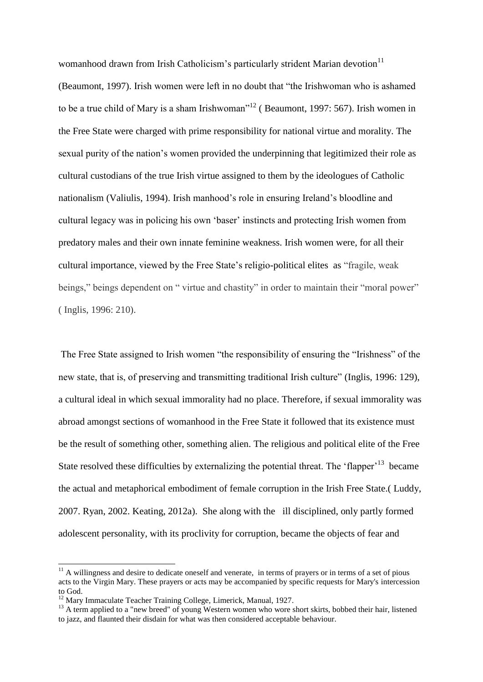womanhood drawn from Irish Catholicism's particularly strident Marian devotion $11$ (Beaumont, 1997). Irish women were left in no doubt that "the Irishwoman who is ashamed to be a true child of Mary is a sham Irishwoman"<sup>12</sup> (Beaumont, 1997: 567). Irish women in the Free State were charged with prime responsibility for national virtue and morality. The sexual purity of the nation's women provided the underpinning that legitimized their role as cultural custodians of the true Irish virtue assigned to them by the ideologues of Catholic nationalism (Valiulis, 1994). Irish manhood's role in ensuring Ireland's bloodline and cultural legacy was in policing his own 'baser' instincts and protecting Irish women from predatory males and their own innate feminine weakness. Irish women were, for all their cultural importance, viewed by the Free State's religio-political elites as "fragile, weak beings," beings dependent on " virtue and chastity" in order to maintain their "moral power" ( Inglis, 1996: 210).

The Free State assigned to Irish women "the responsibility of ensuring the "Irishness" of the new state, that is, of preserving and transmitting traditional Irish culture" (Inglis, 1996: 129), a cultural ideal in which sexual immorality had no place. Therefore, if sexual immorality was abroad amongst sections of womanhood in the Free State it followed that its existence must be the result of something other, something alien. The religious and political elite of the Free State resolved these difficulties by externalizing the potential threat. The 'flapper'<sup>13</sup> became the actual and metaphorical embodiment of female corruption in the Irish Free State.( Luddy, 2007. Ryan, 2002. Keating, 2012a). She along with the ill disciplined, only partly formed adolescent personality, with its proclivity for corruption, became the objects of fear and

1

 $11$  A willingness and desire to dedicate oneself and venerate, in terms of prayers or in terms of a set of pious acts to the Virgin Mary. These prayers or acts may be accompanied by specific requests for Mary's intercession to God.

<sup>&</sup>lt;sup>12</sup> Mary Immaculate Teacher Training College, Limerick, Manual, 1927.

<sup>&</sup>lt;sup>13</sup> A term applied to a "new breed" of young Western women who wore short skirts, bobbed their hair, listened to jazz, and flaunted their disdain for what was then considered acceptable behaviour.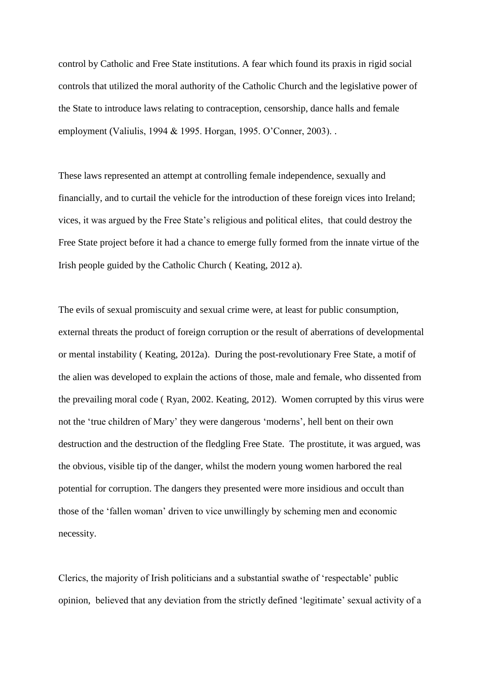control by Catholic and Free State institutions. A fear which found its praxis in rigid social controls that utilized the moral authority of the Catholic Church and the legislative power of the State to introduce laws relating to contraception, censorship, dance halls and female employment (Valiulis, 1994 & 1995. Horgan, 1995. O'Conner, 2003). .

These laws represented an attempt at controlling female independence, sexually and financially, and to curtail the vehicle for the introduction of these foreign vices into Ireland; vices, it was argued by the Free State's religious and political elites, that could destroy the Free State project before it had a chance to emerge fully formed from the innate virtue of the Irish people guided by the Catholic Church ( Keating, 2012 a).

The evils of sexual promiscuity and sexual crime were, at least for public consumption, external threats the product of foreign corruption or the result of aberrations of developmental or mental instability ( Keating, 2012a). During the post-revolutionary Free State, a motif of the alien was developed to explain the actions of those, male and female, who dissented from the prevailing moral code ( Ryan, 2002. Keating, 2012). Women corrupted by this virus were not the 'true children of Mary' they were dangerous 'moderns', hell bent on their own destruction and the destruction of the fledgling Free State. The prostitute, it was argued, was the obvious, visible tip of the danger, whilst the modern young women harbored the real potential for corruption. The dangers they presented were more insidious and occult than those of the 'fallen woman' driven to vice unwillingly by scheming men and economic necessity.

Clerics, the majority of Irish politicians and a substantial swathe of 'respectable' public opinion, believed that any deviation from the strictly defined 'legitimate' sexual activity of a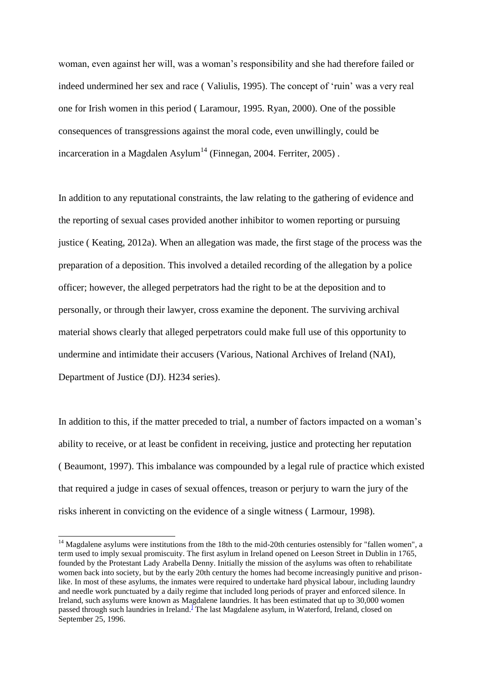woman, even against her will, was a woman's responsibility and she had therefore failed or indeed undermined her sex and race ( Valiulis, 1995). The concept of 'ruin' was a very real one for Irish women in this period ( Laramour, 1995. Ryan, 2000). One of the possible consequences of transgressions against the moral code, even unwillingly, could be incarceration in a Magdalen Asylum<sup>14</sup> (Finnegan, 2004. Ferriter, 2005).

In addition to any reputational constraints, the law relating to the gathering of evidence and the reporting of sexual cases provided another inhibitor to women reporting or pursuing justice ( Keating, 2012a). When an allegation was made, the first stage of the process was the preparation of a deposition. This involved a detailed recording of the allegation by a police officer; however, the alleged perpetrators had the right to be at the deposition and to personally, or through their lawyer, cross examine the deponent. The surviving archival material shows clearly that alleged perpetrators could make full use of this opportunity to undermine and intimidate their accusers (Various, National Archives of Ireland (NAI), Department of Justice (DJ). H234 series).

In addition to this, if the matter preceded to trial, a number of factors impacted on a woman's ability to receive, or at least be confident in receiving, justice and protecting her reputation ( Beaumont, 1997). This imbalance was compounded by a legal rule of practice which existed that required a judge in cases of sexual offences, treason or perjury to warn the jury of the risks inherent in convicting on the evidence of a single witness ( Larmour, 1998).

1

 $14$  Magdalene asylums were institutions from the 18th to the mid-20th centuries ostensibly for "fallen women", a term used to imply sexual promiscuity. The first asylum in Ireland opened on Leeson Street in Dublin in 1765, founded by the Protestant Lady Arabella Denny. Initially the mission of the asylums was often to rehabilitate women back into society, but by the early 20th century the homes had become increasingly punitive and prisonlike. In most of these asylums, the inmates were required to undertake hard physical labour, including laundry and needle work punctuated by a daily regime that included long periods of prayer and enforced silence. In Ireland, such asylums were known as Magdalene laundries. It has been estimated that up to 30,000 women passed through such laundries in Ireland.] The last Magdalene asylum, in Waterford, Ireland, closed on September 25, 1996.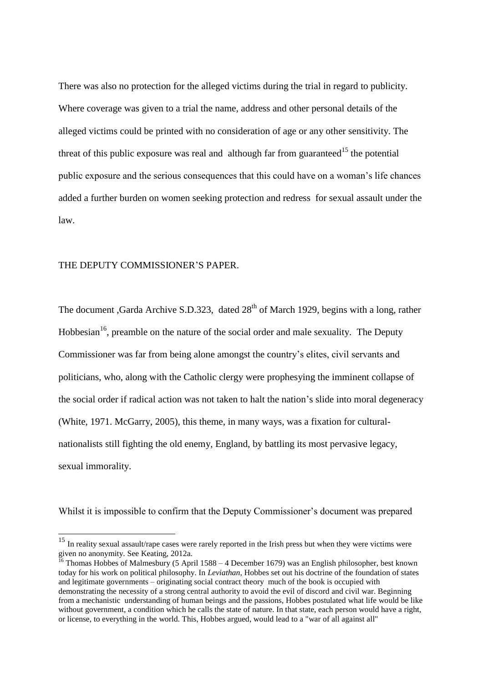There was also no protection for the alleged victims during the trial in regard to publicity. Where coverage was given to a trial the name, address and other personal details of the alleged victims could be printed with no consideration of age or any other sensitivity. The threat of this public exposure was real and although far from guaranteed<sup>15</sup> the potential public exposure and the serious consequences that this could have on a woman's life chances added a further burden on women seeking protection and redress for sexual assault under the law.

#### THE DEPUTY COMMISSIONER'S PAPER.

-

The document ,Garda Archive S.D.323, dated 28<sup>th</sup> of March 1929, begins with a long, rather Hobbesian<sup>16</sup>, preamble on the nature of the social order and male sexuality. The Deputy Commissioner was far from being alone amongst the country's elites, civil servants and politicians, who, along with the Catholic clergy were prophesying the imminent collapse of the social order if radical action was not taken to halt the nation's slide into moral degeneracy (White, 1971. McGarry, 2005), this theme, in many ways, was a fixation for culturalnationalists still fighting the old enemy, England, by battling its most pervasive legacy, sexual immorality.

Whilst it is impossible to confirm that the Deputy Commissioner's document was prepared

<sup>&</sup>lt;sup>15</sup> In reality sexual assault/rape cases were rarely reported in the Irish press but when they were victims were given no anonymity. See Keating, 2012a.

<sup>&</sup>lt;sup>16</sup> Thomas Hobbes of Malmesbury (5 April 1588 – 4 December 1679) was an English philosopher, best known today for his work on political philosophy. In *Leviathan*, Hobbes set out his doctrine of the foundation of states and legitimate governments – originating social contract theory much of the book is occupied with demonstrating the necessity of a strong central authority to avoid the evil of discord and civil war. Beginning from a mechanistic understanding of human beings and the passions, Hobbes postulated what life would be like without government, a condition which he calls the state of nature. In that state, each person would have a right, or license, to everything in the world. This, Hobbes argued, would lead to a "war of all against all"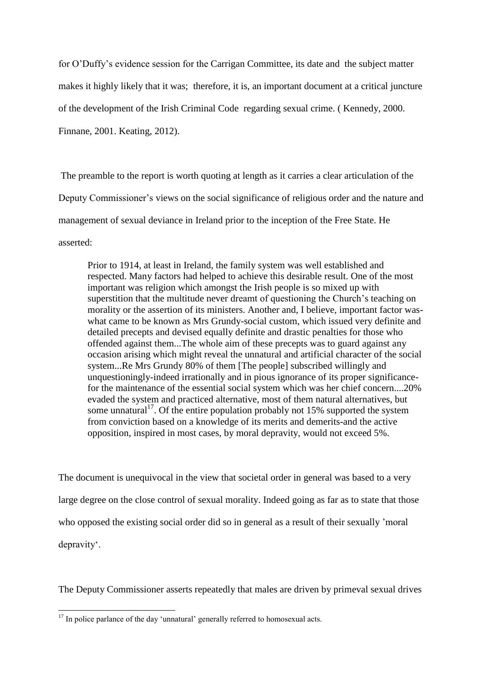for O'Duffy's evidence session for the Carrigan Committee, its date and the subject matter makes it highly likely that it was; therefore, it is, an important document at a critical juncture of the development of the Irish Criminal Code regarding sexual crime. ( Kennedy, 2000. Finnane, 2001. Keating, 2012).

The preamble to the report is worth quoting at length as it carries a clear articulation of the Deputy Commissioner's views on the social significance of religious order and the nature and management of sexual deviance in Ireland prior to the inception of the Free State. He asserted:

Prior to 1914, at least in Ireland, the family system was well established and respected. Many factors had helped to achieve this desirable result. One of the most important was religion which amongst the Irish people is so mixed up with superstition that the multitude never dreamt of questioning the Church's teaching on morality or the assertion of its ministers. Another and, I believe, important factor waswhat came to be known as Mrs Grundy-social custom, which issued very definite and detailed precepts and devised equally definite and drastic penalties for those who offended against them...The whole aim of these precepts was to guard against any occasion arising which might reveal the unnatural and artificial character of the social system...Re Mrs Grundy 80% of them [The people] subscribed willingly and unquestioningly-indeed irrationally and in pious ignorance of its proper significancefor the maintenance of the essential social system which was her chief concern....20% evaded the system and practiced alternative, most of them natural alternatives, but some unnatural<sup>17</sup>. Of the entire population probably not 15% supported the system from conviction based on a knowledge of its merits and demerits-and the active opposition, inspired in most cases, by moral depravity, would not exceed 5%.

The document is unequivocal in the view that societal order in general was based to a very large degree on the close control of sexual morality. Indeed going as far as to state that those who opposed the existing social order did so in general as a result of their sexually 'moral depravity'.

The Deputy Commissioner asserts repeatedly that males are driven by primeval sexual drives

 $\overline{a}$ 

 $17$  In police parlance of the day 'unnatural' generally referred to homosexual acts.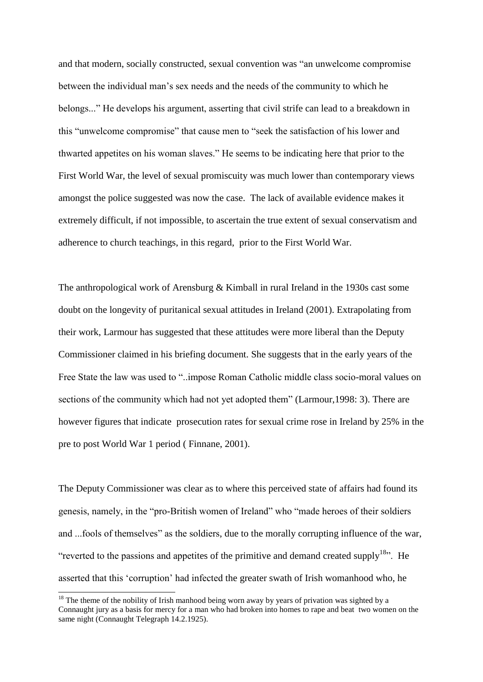and that modern, socially constructed, sexual convention was "an unwelcome compromise between the individual man's sex needs and the needs of the community to which he belongs..." He develops his argument, asserting that civil strife can lead to a breakdown in this "unwelcome compromise" that cause men to "seek the satisfaction of his lower and thwarted appetites on his woman slaves." He seems to be indicating here that prior to the First World War, the level of sexual promiscuity was much lower than contemporary views amongst the police suggested was now the case. The lack of available evidence makes it extremely difficult, if not impossible, to ascertain the true extent of sexual conservatism and adherence to church teachings, in this regard, prior to the First World War.

The anthropological work of Arensburg & Kimball in rural Ireland in the 1930s cast some doubt on the longevity of puritanical sexual attitudes in Ireland (2001). Extrapolating from their work, Larmour has suggested that these attitudes were more liberal than the Deputy Commissioner claimed in his briefing document. She suggests that in the early years of the Free State the law was used to "..impose Roman Catholic middle class socio-moral values on sections of the community which had not yet adopted them" (Larmour,1998: 3). There are however figures that indicate prosecution rates for sexual crime rose in Ireland by 25% in the pre to post World War 1 period ( Finnane, 2001).

The Deputy Commissioner was clear as to where this perceived state of affairs had found its genesis, namely, in the "pro-British women of Ireland" who "made heroes of their soldiers and ...fools of themselves" as the soldiers, due to the morally corrupting influence of the war, "reverted to the passions and appetites of the primitive and demand created supply<sup>18</sup>". He asserted that this 'corruption' had infected the greater swath of Irish womanhood who, he

 $\overline{a}$ 

 $18$  The theme of the nobility of Irish manhood being worn away by years of privation was sighted by a Connaught jury as a basis for mercy for a man who had broken into homes to rape and beat two women on the same night (Connaught Telegraph 14.2.1925).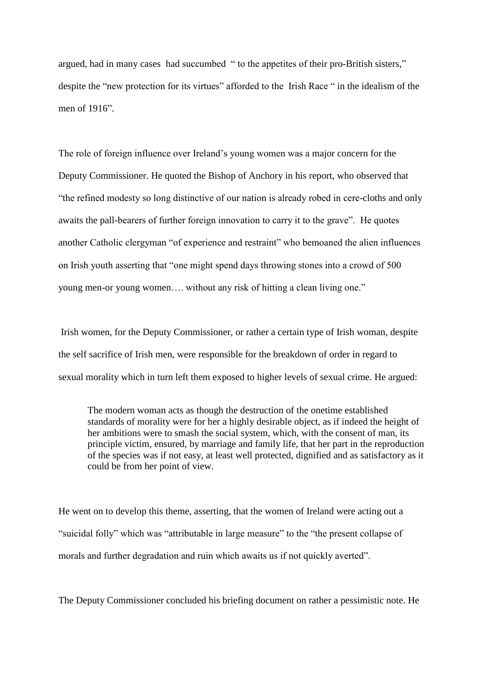argued, had in many cases had succumbed " to the appetites of their pro-British sisters," despite the "new protection for its virtues" afforded to the Irish Race " in the idealism of the men of 1916".

The role of foreign influence over Ireland's young women was a major concern for the Deputy Commissioner. He quoted the Bishop of Anchory in his report, who observed that "the refined modesty so long distinctive of our nation is already robed in cere-cloths and only awaits the pall-bearers of further foreign innovation to carry it to the grave". He quotes another Catholic clergyman "of experience and restraint" who bemoaned the alien influences on Irish youth asserting that "one might spend days throwing stones into a crowd of 500 young men-or young women…. without any risk of hitting a clean living one."

Irish women, for the Deputy Commissioner, or rather a certain type of Irish woman, despite the self sacrifice of Irish men, were responsible for the breakdown of order in regard to sexual morality which in turn left them exposed to higher levels of sexual crime. He argued:

The modern woman acts as though the destruction of the onetime established standards of morality were for her a highly desirable object, as if indeed the height of her ambitions were to smash the social system, which, with the consent of man, its principle victim, ensured, by marriage and family life, that her part in the reproduction of the species was if not easy, at least well protected, dignified and as satisfactory as it could be from her point of view.

He went on to develop this theme, asserting, that the women of Ireland were acting out a "suicidal folly" which was "attributable in large measure" to the "the present collapse of morals and further degradation and ruin which awaits us if not quickly averted".

The Deputy Commissioner concluded his briefing document on rather a pessimistic note. He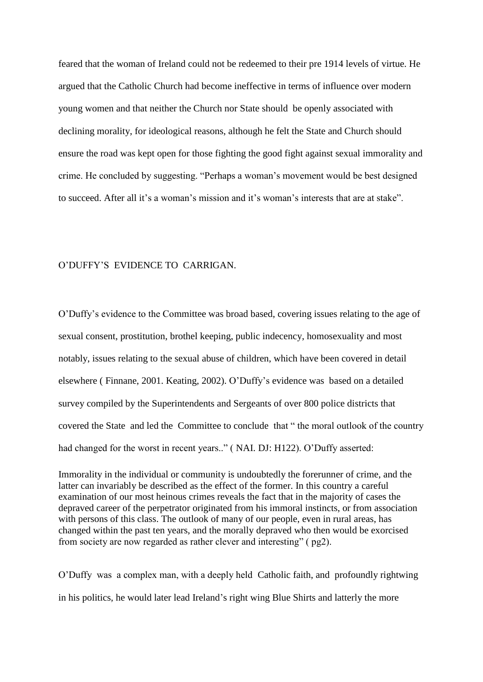feared that the woman of Ireland could not be redeemed to their pre 1914 levels of virtue. He argued that the Catholic Church had become ineffective in terms of influence over modern young women and that neither the Church nor State should be openly associated with declining morality, for ideological reasons, although he felt the State and Church should ensure the road was kept open for those fighting the good fight against sexual immorality and crime. He concluded by suggesting. "Perhaps a woman's movement would be best designed to succeed. After all it's a woman's mission and it's woman's interests that are at stake".

#### O'DUFFY'S EVIDENCE TO CARRIGAN.

O'Duffy's evidence to the Committee was broad based, covering issues relating to the age of sexual consent, prostitution, brothel keeping, public indecency, homosexuality and most notably, issues relating to the sexual abuse of children, which have been covered in detail elsewhere ( Finnane, 2001. Keating, 2002). O'Duffy's evidence was based on a detailed survey compiled by the Superintendents and Sergeants of over 800 police districts that covered the State and led the Committee to conclude that " the moral outlook of the country had changed for the worst in recent years.." (NAI. DJ: H122). O'Duffy asserted:

Immorality in the individual or community is undoubtedly the forerunner of crime, and the latter can invariably be described as the effect of the former. In this country a careful examination of our most heinous crimes reveals the fact that in the majority of cases the depraved career of the perpetrator originated from his immoral instincts, or from association with persons of this class. The outlook of many of our people, even in rural areas, has changed within the past ten years, and the morally depraved who then would be exorcised from society are now regarded as rather clever and interesting" ( pg2).

O'Duffy was a complex man, with a deeply held Catholic faith, and profoundly rightwing in his politics, he would later lead Ireland's right wing Blue Shirts and latterly the more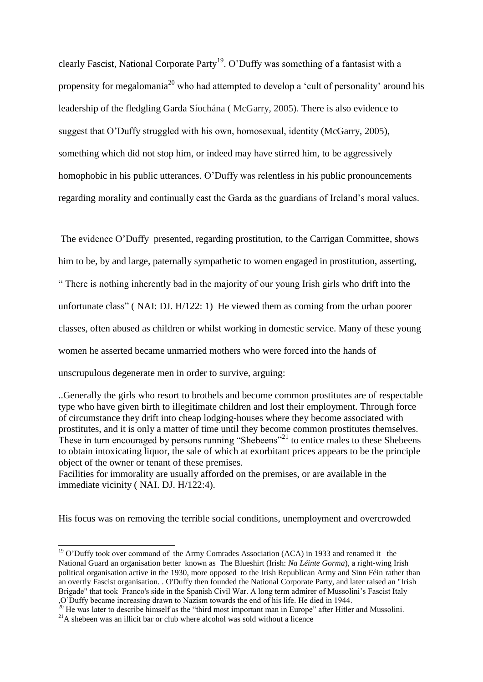clearly Fascist, National Corporate Party<sup>19</sup>. O'Duffy was something of a fantasist with a propensity for megalomania<sup>20</sup> who had attempted to develop a 'cult of personality' around his leadership of the fledgling Garda Síochána ( McGarry, 2005). There is also evidence to suggest that O'Duffy struggled with his own, homosexual, identity (McGarry, 2005), something which did not stop him, or indeed may have stirred him, to be aggressively homophobic in his public utterances. O'Duffy was relentless in his public pronouncements regarding morality and continually cast the Garda as the guardians of Ireland's moral values.

The evidence O'Duffy presented, regarding prostitution, to the Carrigan Committee, shows him to be, by and large, paternally sympathetic to women engaged in prostitution, asserting, " There is nothing inherently bad in the majority of our young Irish girls who drift into the unfortunate class" ( NAI: DJ. H/122: 1) He viewed them as coming from the urban poorer classes, often abused as children or whilst working in domestic service. Many of these young women he asserted became unmarried mothers who were forced into the hands of unscrupulous degenerate men in order to survive, arguing:

..Generally the girls who resort to brothels and become common prostitutes are of respectable type who have given birth to illegitimate children and lost their employment. Through force of circumstance they drift into cheap lodging-houses where they become associated with prostitutes, and it is only a matter of time until they become common prostitutes themselves. These in turn encouraged by persons running "Shebeens"<sup>21</sup> to entice males to these Shebeens to obtain intoxicating liquor, the sale of which at exorbitant prices appears to be the principle object of the owner or tenant of these premises.

Facilities for immorality are usually afforded on the premises, or are available in the immediate vicinity ( NAI. DJ. H/122:4).

His focus was on removing the terrible social conditions, unemployment and overcrowded

-

 $19$  O'Duffy took over command of the Army Comrades Association (ACA) in 1933 and renamed it the National Guard an organisation better known as The Blueshirt (Irish: *Na Léinte Gorma*), a right-wing Irish political organisation active in the 1930, more opposed to the Irish Republican Army and Sinn Féin rather than an overtly Fascist organisation. . O'Duffy then founded the National Corporate Party, and later raised an "Irish Brigade" that took Franco's side in the Spanish Civil War. A long term admirer of Mussolini's Fascist Italy ,O'Duffy became increasing drawn to Nazism towards the end of his life. He died in 1944.

 $20$  He was later to describe himself as the "third most important man in Europe" after Hitler and Mussolini.

 $^{21}$ A shebeen was an illicit bar or club where alcohol was sold without a licence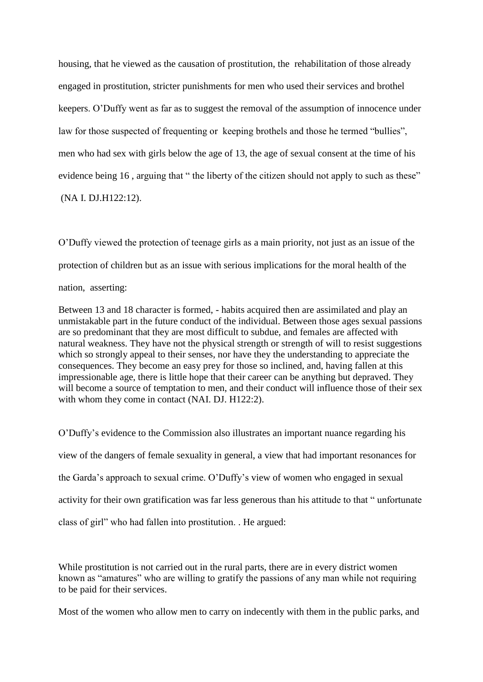housing, that he viewed as the causation of prostitution, the rehabilitation of those already engaged in prostitution, stricter punishments for men who used their services and brothel keepers. O'Duffy went as far as to suggest the removal of the assumption of innocence under law for those suspected of frequenting or keeping brothels and those he termed "bullies", men who had sex with girls below the age of 13, the age of sexual consent at the time of his evidence being 16, arguing that " the liberty of the citizen should not apply to such as these" (NA I. DJ.H122:12).

O'Duffy viewed the protection of teenage girls as a main priority, not just as an issue of the protection of children but as an issue with serious implications for the moral health of the nation, asserting:

Between 13 and 18 character is formed, - habits acquired then are assimilated and play an unmistakable part in the future conduct of the individual. Between those ages sexual passions are so predominant that they are most difficult to subdue, and females are affected with natural weakness. They have not the physical strength or strength of will to resist suggestions which so strongly appeal to their senses, nor have they the understanding to appreciate the consequences. They become an easy prey for those so inclined, and, having fallen at this impressionable age, there is little hope that their career can be anything but depraved. They will become a source of temptation to men, and their conduct will influence those of their sex with whom they come in contact (NAI. DJ. H122:2).

O'Duffy's evidence to the Commission also illustrates an important nuance regarding his view of the dangers of female sexuality in general, a view that had important resonances for the Garda's approach to sexual crime. O'Duffy's view of women who engaged in sexual activity for their own gratification was far less generous than his attitude to that " unfortunate class of girl" who had fallen into prostitution. . He argued:

While prostitution is not carried out in the rural parts, there are in every district women known as "amatures" who are willing to gratify the passions of any man while not requiring to be paid for their services.

Most of the women who allow men to carry on indecently with them in the public parks, and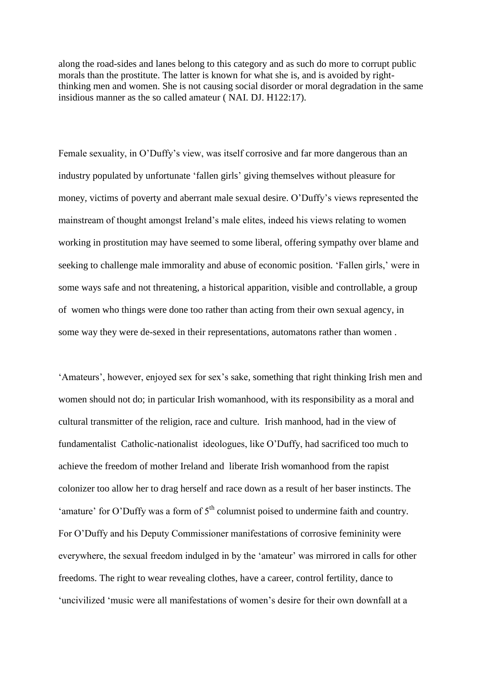along the road-sides and lanes belong to this category and as such do more to corrupt public morals than the prostitute. The latter is known for what she is, and is avoided by rightthinking men and women. She is not causing social disorder or moral degradation in the same insidious manner as the so called amateur ( NAI. DJ. H122:17).

Female sexuality, in O'Duffy's view, was itself corrosive and far more dangerous than an industry populated by unfortunate 'fallen girls' giving themselves without pleasure for money, victims of poverty and aberrant male sexual desire. O'Duffy's views represented the mainstream of thought amongst Ireland's male elites, indeed his views relating to women working in prostitution may have seemed to some liberal, offering sympathy over blame and seeking to challenge male immorality and abuse of economic position. 'Fallen girls,' were in some ways safe and not threatening, a historical apparition, visible and controllable, a group of women who things were done too rather than acting from their own sexual agency, in some way they were de-sexed in their representations, automatons rather than women .

'Amateurs', however, enjoyed sex for sex's sake, something that right thinking Irish men and women should not do; in particular Irish womanhood, with its responsibility as a moral and cultural transmitter of the religion, race and culture. Irish manhood, had in the view of fundamentalist Catholic-nationalist ideologues, like O'Duffy, had sacrificed too much to achieve the freedom of mother Ireland and liberate Irish womanhood from the rapist colonizer too allow her to drag herself and race down as a result of her baser instincts. The 'amature' for O'Duffy was a form of  $5<sup>th</sup>$  columnist poised to undermine faith and country. For O'Duffy and his Deputy Commissioner manifestations of corrosive femininity were everywhere, the sexual freedom indulged in by the 'amateur' was mirrored in calls for other freedoms. The right to wear revealing clothes, have a career, control fertility, dance to 'uncivilized 'music were all manifestations of women's desire for their own downfall at a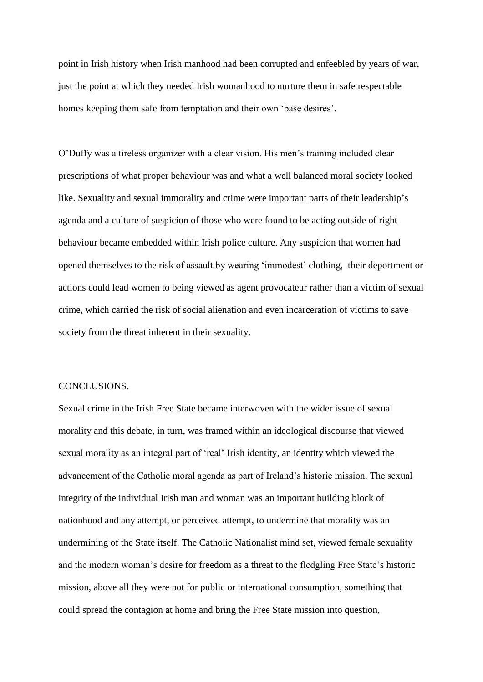point in Irish history when Irish manhood had been corrupted and enfeebled by years of war, just the point at which they needed Irish womanhood to nurture them in safe respectable homes keeping them safe from temptation and their own 'base desires'.

O'Duffy was a tireless organizer with a clear vision. His men's training included clear prescriptions of what proper behaviour was and what a well balanced moral society looked like. Sexuality and sexual immorality and crime were important parts of their leadership's agenda and a culture of suspicion of those who were found to be acting outside of right behaviour became embedded within Irish police culture. Any suspicion that women had opened themselves to the risk of assault by wearing 'immodest' clothing, their deportment or actions could lead women to being viewed as agent provocateur rather than a victim of sexual crime, which carried the risk of social alienation and even incarceration of victims to save society from the threat inherent in their sexuality.

#### CONCLUSIONS.

Sexual crime in the Irish Free State became interwoven with the wider issue of sexual morality and this debate, in turn, was framed within an ideological discourse that viewed sexual morality as an integral part of 'real' Irish identity, an identity which viewed the advancement of the Catholic moral agenda as part of Ireland's historic mission. The sexual integrity of the individual Irish man and woman was an important building block of nationhood and any attempt, or perceived attempt, to undermine that morality was an undermining of the State itself. The Catholic Nationalist mind set, viewed female sexuality and the modern woman's desire for freedom as a threat to the fledgling Free State's historic mission, above all they were not for public or international consumption, something that could spread the contagion at home and bring the Free State mission into question,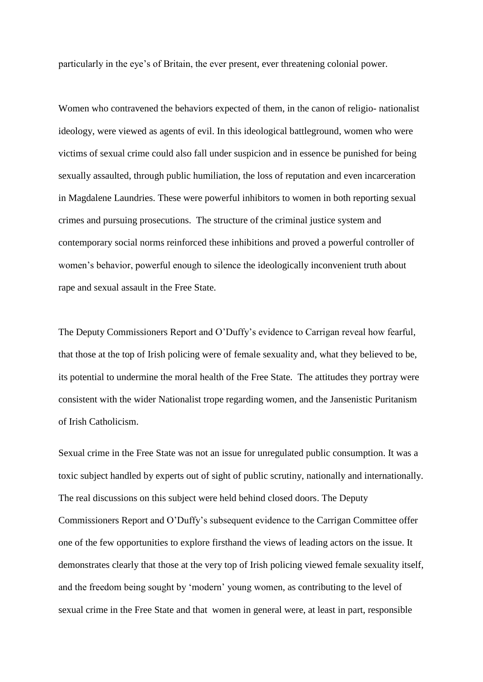particularly in the eye's of Britain, the ever present, ever threatening colonial power.

Women who contravened the behaviors expected of them, in the canon of religio- nationalist ideology, were viewed as agents of evil. In this ideological battleground, women who were victims of sexual crime could also fall under suspicion and in essence be punished for being sexually assaulted, through public humiliation, the loss of reputation and even incarceration in Magdalene Laundries. These were powerful inhibitors to women in both reporting sexual crimes and pursuing prosecutions. The structure of the criminal justice system and contemporary social norms reinforced these inhibitions and proved a powerful controller of women's behavior, powerful enough to silence the ideologically inconvenient truth about rape and sexual assault in the Free State.

The Deputy Commissioners Report and O'Duffy's evidence to Carrigan reveal how fearful, that those at the top of Irish policing were of female sexuality and, what they believed to be, its potential to undermine the moral health of the Free State. The attitudes they portray were consistent with the wider Nationalist trope regarding women, and the Jansenistic Puritanism of Irish Catholicism.

Sexual crime in the Free State was not an issue for unregulated public consumption. It was a toxic subject handled by experts out of sight of public scrutiny, nationally and internationally. The real discussions on this subject were held behind closed doors. The Deputy Commissioners Report and O'Duffy's subsequent evidence to the Carrigan Committee offer one of the few opportunities to explore firsthand the views of leading actors on the issue. It demonstrates clearly that those at the very top of Irish policing viewed female sexuality itself, and the freedom being sought by 'modern' young women, as contributing to the level of sexual crime in the Free State and that women in general were, at least in part, responsible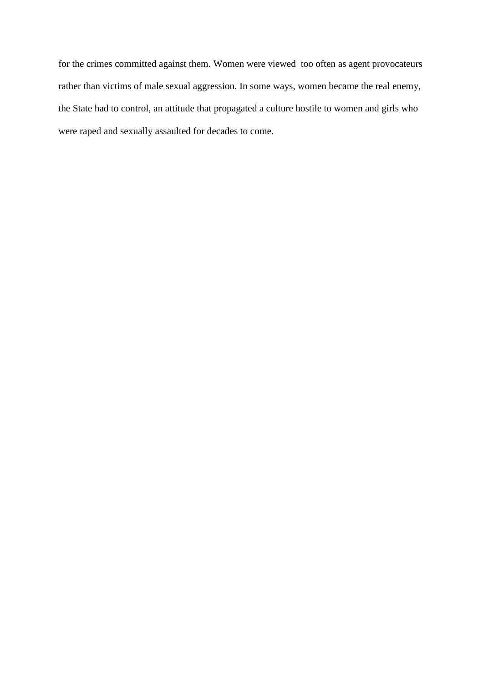for the crimes committed against them. Women were viewed too often as agent provocateurs rather than victims of male sexual aggression. In some ways, women became the real enemy, the State had to control, an attitude that propagated a culture hostile to women and girls who were raped and sexually assaulted for decades to come.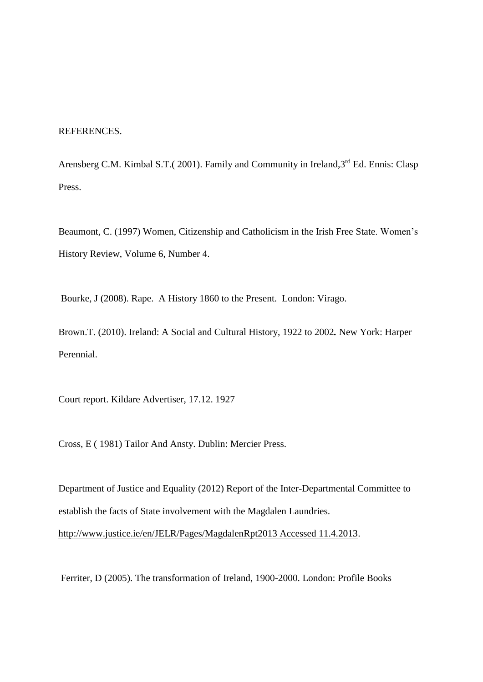## REFERENCES.

Arensberg C.M. Kimbal S.T. (2001). Family and Community in Ireland, 3<sup>rd</sup> Ed. Ennis: Clasp Press.

Beaumont, C. (1997) Women, Citizenship and Catholicism in the Irish Free State. Women's History Review, Volume 6, Number 4.

Bourke, J (2008). Rape. A History 1860 to the Present. London: Virago.

Brown.T. (2010). Ireland: A Social and Cultural History, 1922 to 2002*.* New York: Harper Perennial.

Court report. Kildare Advertiser, 17.12. 1927

Cross, E ( 1981) Tailor And Ansty. Dublin: Mercier Press.

Department of Justice and Equality (2012) Report of the Inter-Departmental Committee to establish the facts of State involvement with the Magdalen Laundries. [http://www.justice.ie/en/JELR/Pages/MagdalenRpt2013 Accessed 11.4.2013.](http://www.justice.ie/en/JELR/Pages/MagdalenRpt2013%20Accessed%2011.4.2013)

Ferriter, D (2005). The transformation of Ireland, 1900-2000. London: Profile Books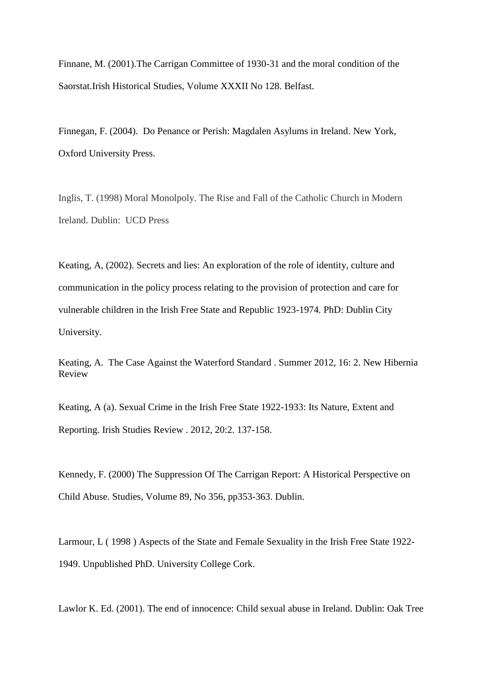Finnane, M. (2001).The Carrigan Committee of 1930-31 and the moral condition of the Saorstat.Irish Historical Studies, Volume XXXII No 128. Belfast.

Finnegan, F. (2004). Do Penance or Perish: Magdalen Asylums in Ireland. New York, Oxford University Press.

Inglis, T. (1998) Moral Monolpoly. The Rise and Fall of the Catholic Church in Modern Ireland. Dublin: UCD Press

Keating, A, (2002). Secrets and lies: An exploration of the role of identity, culture and communication in the policy process relating to the provision of protection and care for vulnerable children in the Irish Free State and Republic 1923-1974*.* PhD: Dublin City University.

Keating, A. The Case Against the Waterford Standard . Summer 2012, 16: 2. New Hibernia Review

Keating, A (a). Sexual Crime in the Irish Free State 1922-1933: Its Nature, Extent and Reporting. Irish Studies Review . 2012, 20:2. 137-158.

Kennedy, F. (2000) The Suppression Of The Carrigan Report: A Historical Perspective on Child Abuse. Studies, Volume 89, No 356, pp353-363. Dublin.

Larmour, L ( 1998 ) Aspects of the State and Female Sexuality in the Irish Free State 1922- 1949. Unpublished PhD. University College Cork.

Lawlor K. Ed. (2001). The end of innocence: Child sexual abuse in Ireland. Dublin: Oak Tree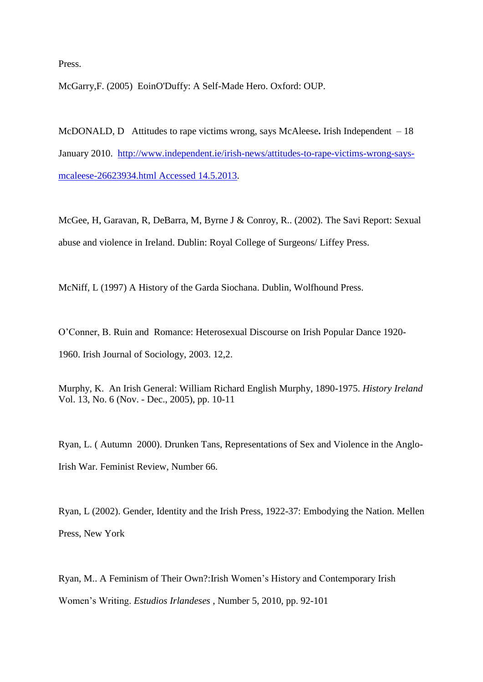Press.

McGarry,F. (2005) EoinO'Duffy: A Self-Made Hero. Oxford: OUP.

McDONALD, DAttitudes to rape victims wrong, says McAleese**.** Irish Independent – 18 January 2010. [http://www.independent.ie/irish-news/attitudes-to-rape-victims-wrong-says](http://www.independent.ie/irish-news/attitudes-to-rape-victims-wrong-says-mcaleese-26623934.html%20Accessed%2014.5.2013)[mcaleese-26623934.html Accessed 14.5.2013.](http://www.independent.ie/irish-news/attitudes-to-rape-victims-wrong-says-mcaleese-26623934.html%20Accessed%2014.5.2013)

McGee, H, Garavan, R, DeBarra, M, Byrne J & Conroy, R.. (2002). The Savi Report: Sexual abuse and violence in Ireland. Dublin: Royal College of Surgeons/ Liffey Press.

McNiff, L (1997) A History of the Garda Siochana. Dublin, Wolfhound Press.

O'Conner, B. Ruin and Romance: Heterosexual Discourse on Irish Popular Dance 1920- 1960. Irish Journal of Sociology, 2003. 12,2.

Murphy, K. An Irish General: William Richard English Murphy, 1890-1975. *History Ireland* Vol. 13, No. 6 (Nov. - Dec., 2005), pp. 10-11

Ryan, L. ( Autumn 2000). Drunken Tans, Representations of Sex and Violence in the Anglo-Irish War. Feminist Review, Number 66.

Ryan, L (2002). Gender, Identity and the Irish Press, 1922-37: Embodying the Nation. Mellen Press, New York

Ryan, M.. A Feminism of Their Own?:Irish Women's History and Contemporary Irish Women's Writing. *Estudios Irlandeses* , Number 5, 2010, pp. 92-101